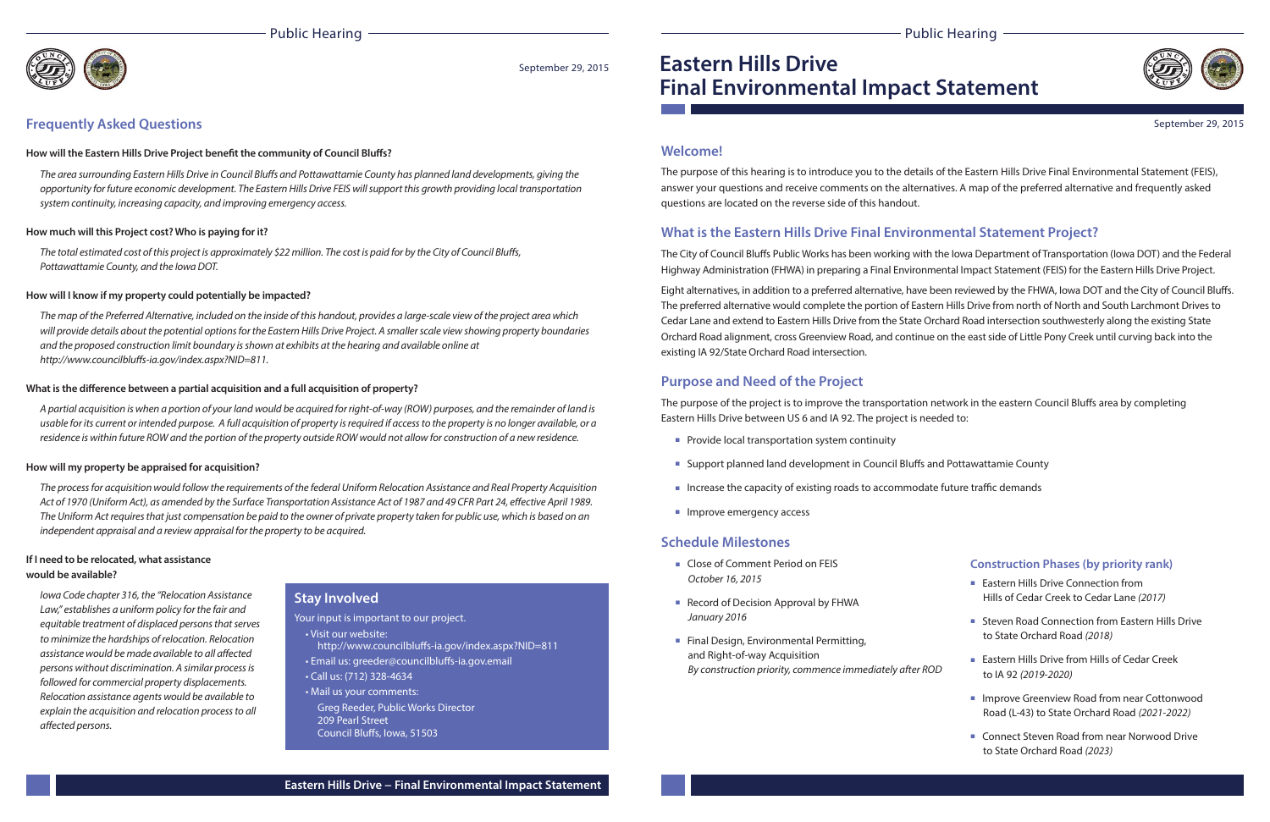## Public Hearing





# **Eastern Hills DriveFinal Environmental Impact Statement**

## **Welcome!**

The purpose of this hearing is to introduce you to the details of the Eastern Hills Drive Final Environmental Statement (FEIS), answer your questions and receive comments on the alternatives. A map of the preferred alternative and frequently asked questions are located on the reverse side of this handout.

The City of Council Bluffs Public Works has been working with the Iowa Department of Transportation (Iowa DOT) and the Federal Highway Administration (FHWA) in preparing a Final Environmental Impact Statement (FEIS) for the Eastern Hills Drive Project.

## **What is the Eastern Hills Drive Final Environmental Statement Project?**

Eight alternatives, in addition to a preferred alternative, have been reviewed by the FHWA, Iowa DOT and the City of Council Bluffs. The preferred alternative would complete the portion of Eastern Hills Drive from north of North and South Larchmont Drives to Cedar Lane and extend to Eastern Hills Drive from the State Orchard Road intersection southwesterly along the existing State Orchard Road alignment, cross Greenview Road, and continue on the east side of Little Pony Creek until curving back into the existing IA 92/State Orchard Road intersection.

The purpose of the project is to improve the transportation network in the eastern Council Bluffs area by completing Eastern Hills Drive between US 6 and IA 92. The project is needed to:

- Provide local transportation system continuity
- Support planned land development in Council Bluffs and Pottawattamie County
- Increase the capacity of existing roads to accommodate future traffic demands
- Improve emergency access

- Close of Comment Period on FEIS October 16, 2015
- Record of Decision Approval by FHWA January 2016
- Final Design, Environmental Permitting, and Right-of-way Acquisition By construction priority, commence immediately after ROD
- Eastern Hills Drive Connection from Hills of Cedar Creek to Cedar Lane (2017)
- Steven Road Connection from Eastern Hills Drive to State Orchard Road (2018)
- Eastern Hills Drive from Hills of Cedar Creek to IA 92 (2019-2020)
- Improve Greenview Road from near Cottonwood Road (L-43) to State Orchard Road (2021-2022)
- Connect Steven Road from near Norwood Drive to State Orchard Road (2023)

- Visit our website: http://www.councilbluffs-ia.gov/index.aspx?NID=811
- Email us: greeder@councilbluffs-ia.gov.email
- Call us: (712) 328-4634
- Mail us your comments:
- Greg Reeder, Public Works Director 209 Pearl StreetCouncil Bluffs, Iowa, 51503

## **Purpose and Need of the Project**

The area surrounding Eastern Hills Drive in Council Bluffs and Pottawattamie County has planned land developments, giving the opportunity for future economic development. The Eastern Hills Drive FEIS will support this growth providing local transportation system continuity, increasing capacity, and improving emergency access.

The total estimated cost of this project is approximately \$22 million. The cost is paid for by the City of Council Bluffs, Pottawattamie County, and the Iowa DOT.

## **Schedule Milestones**

The map of the Preferred Alternative, included on the inside of this handout, provides a large-scale view of the project area which will provide details about the potential options for the Eastern Hills Drive Project. A smaller scale view showing property boundaries and the proposed construction limit boundary is shown at exhibits at the hearing and available online at http://www.councilbluffs-ia.gov/index.aspx?NID=811.

#### What is the difference between a partial acquisition and a full acquisition of property?

### **Construction Phases (by priority rank)**

September 29, 2015

## **Stay Involved**

Your input is important to our project.

Iowa Code chapter 316, the "Relocation Assistance Law," establishes a uniform policy for the fair and equitable treatment of displaced persons that serves to minimize the hardships of relocation. Relocation assistance would be made available to all affected persons without discrimination. A similar process is followed for commercial property displacements. Relocation assistance agents would be available to explain the acquisition and relocation process to all affected persons.

## Public Hearing



## **Frequently Asked Questions**

#### How will the Eastern Hills Drive Project benefit the community of Council Bluffs?

#### **How much will this Project cost? Who is paying for it?**

#### **How will I know if my property could potentially be impacted?**

A partial acquisition is when a portion of your land would be acquired for right-of-way (ROW) purposes, and the remainder of land is usable for its current or intended purpose. A full acquisition of property is required if access to the property is no longer available, or a residence is within future ROW and the portion of the property outside ROW would not allow for construction of a new residence.

#### **How will my property be appraised for acquisition?**

The process for acquisition would follow the requirements of the federal Uniform Relocation Assistance and Real Property Acquisition Act of 1970 (Uniform Act), as amended by the Surface Transportation Assistance Act of 1987 and 49 CFR Part 24, effective April 1989. The Uniform Act requires that just compensation be paid to the owner of private property taken for public use, which is based on an independent appraisal and a review appraisal for the property to be acquired.

### **If I need to be relocated, what assistance would be available?**

#### September 29, 2015